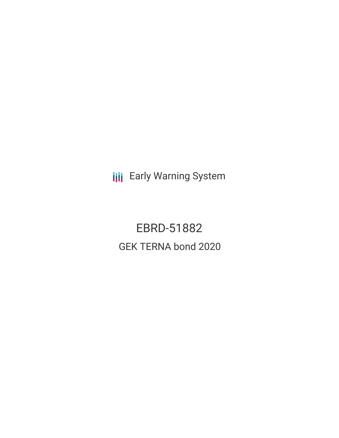**III** Early Warning System

EBRD-51882 GEK TERNA bond 2020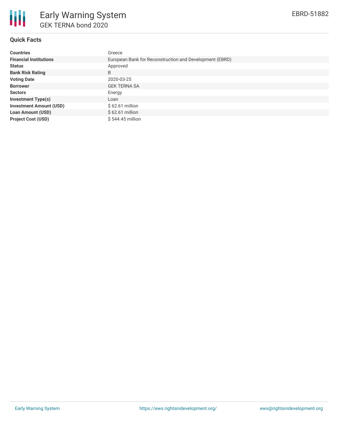

#### **Quick Facts**

| <b>Countries</b>               | Greece                                                  |  |  |  |  |
|--------------------------------|---------------------------------------------------------|--|--|--|--|
| <b>Financial Institutions</b>  | European Bank for Reconstruction and Development (EBRD) |  |  |  |  |
| <b>Status</b>                  | Approved                                                |  |  |  |  |
| <b>Bank Risk Rating</b>        | B                                                       |  |  |  |  |
| <b>Voting Date</b>             | 2020-03-25                                              |  |  |  |  |
| <b>Borrower</b>                | <b>GEK TERNA SA</b>                                     |  |  |  |  |
| <b>Sectors</b>                 | Energy                                                  |  |  |  |  |
| <b>Investment Type(s)</b>      | Loan                                                    |  |  |  |  |
| <b>Investment Amount (USD)</b> | $$62.61$ million                                        |  |  |  |  |
| <b>Loan Amount (USD)</b>       | $$62.61$ million                                        |  |  |  |  |
| <b>Project Cost (USD)</b>      | \$544,45 million                                        |  |  |  |  |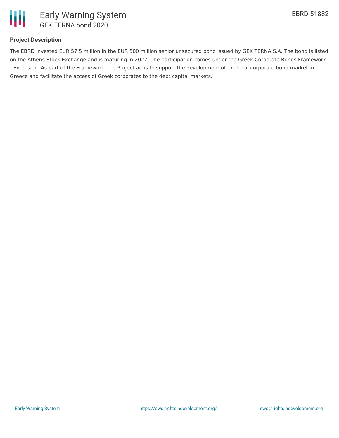

# **Project Description**

The EBRD invested EUR 57.5 million in the EUR 500 million senior unsecured bond issued by GEK TERNA S.A. The bond is listed on the Athens Stock Exchange and is maturing in 2027. The participation comes under the Greek Corporate Bonds Framework - Extension. As part of the Framework, the Project aims to support the development of the local corporate bond market in Greece and facilitate the access of Greek corporates to the debt capital markets.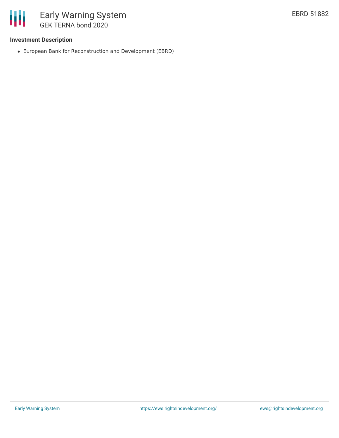

#### **Investment Description**

European Bank for Reconstruction and Development (EBRD)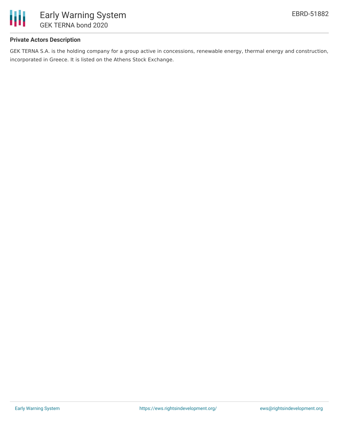

# **Private Actors Description**

GEK TERNA S.A. is the holding company for a group active in concessions, renewable energy, thermal energy and construction, incorporated in Greece. It is listed on the Athens Stock Exchange.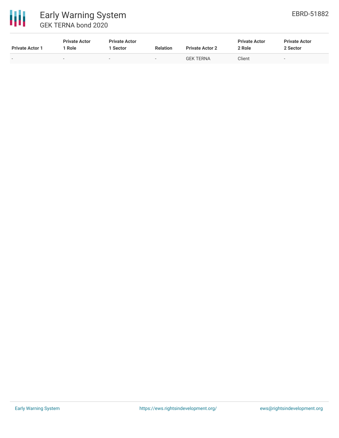

| <b>Private Actor 1</b>   | <b>Private Actor</b><br>Role | <b>Private Actor</b><br>Sector | <b>Relation</b> | <b>Private Actor 2</b> | <b>Private Actor</b><br>2 Role | <b>Private Actor</b><br>2 Sector |
|--------------------------|------------------------------|--------------------------------|-----------------|------------------------|--------------------------------|----------------------------------|
| $\overline{\phantom{0}}$ | $\overline{\phantom{a}}$     | $\overline{\phantom{0}}$       | $-$             | <b>GEK TERNA</b>       | Client                         | $\overline{\phantom{a}}$         |